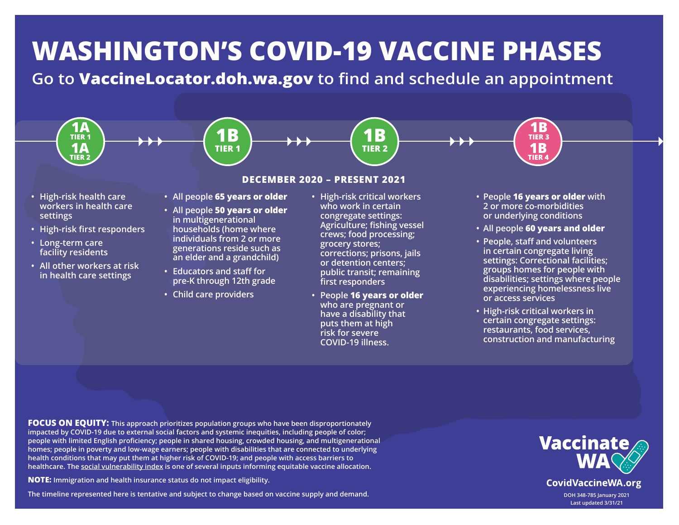# **WASHINGTON'S COVID-19 VACCINE PHASES**

**Go to VaccineLocator.doh.wa.gov to find and schedule an appointment**



 **have a disability that puts them at high risk for severe COVID-19 illness.**

**• High-risk critical workers in certain congregate settings: restaurants, food services, construction and manufacturing**

**FOCUS ON EQUITY: This approach prioritizes population groups who have been disproportionately impacted by COVID-19 due to external social factors and systemic inequities, including people of color; people with limited English proficiency; people in shared housing, crowded housing, and multigenerational homes; people in poverty and low-wage earners; people with disabilities that are connected to underlying health conditions that may put them at higher risk of COVID-19; and people with access barriers to healthcare. [The social vulnerability index is](https://fortress.wa.gov/doh/wtn/WTNIBL/) one of several inputs informing equitable vaccine allocation.**

**NOTE: Immigration and health insurance status do not impact eligibility.** 

**The timeline represented here is tentative and subject to change based on vaccine supply and demand.**

# **Vaccinate**

**CovidVaccineWA.org** 

**DOH 348-785 January 2021 Last updated 3/31/21**